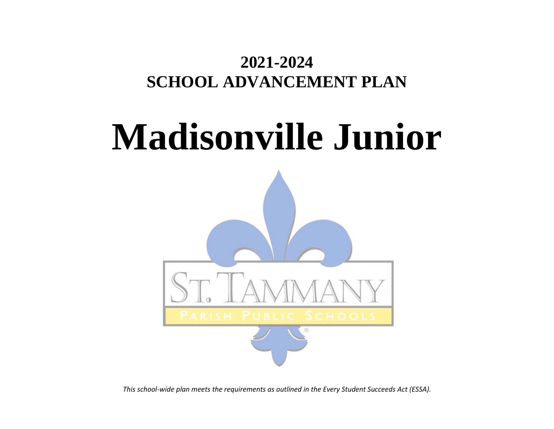## **2021-2024 SCHOOL ADVANCEMENT PLAN**

# **Madisonville Junior**



*This school-wide plan meets the requirements as outlined in the Every Student Succeeds Act (ESSA).*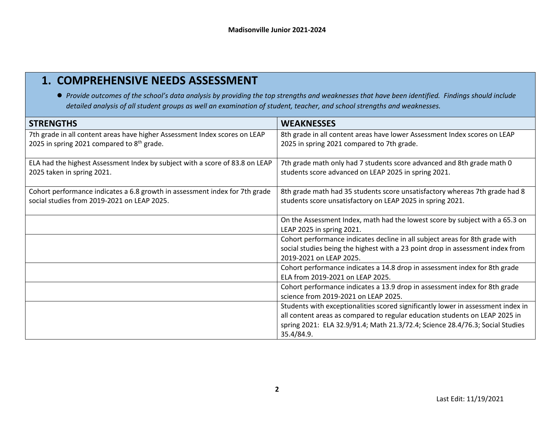## **1. COMPREHENSIVE NEEDS ASSESSMENT**

● *Provide outcomes of the school's data analysis by providing the top strengths and weaknesses that have been identified. Findings should include detailed analysis of all student groups as well an examination of student, teacher, and school strengths and weaknesses.* 

| <b>STRENGTHS</b>                                                                                                                     | <b>WEAKNESSES</b>                                                                                                                                                                                                                                              |
|--------------------------------------------------------------------------------------------------------------------------------------|----------------------------------------------------------------------------------------------------------------------------------------------------------------------------------------------------------------------------------------------------------------|
| 7th grade in all content areas have higher Assessment Index scores on LEAP<br>2025 in spring 2021 compared to 8 <sup>th</sup> grade. | 8th grade in all content areas have lower Assessment Index scores on LEAP<br>2025 in spring 2021 compared to 7th grade.                                                                                                                                        |
| ELA had the highest Assessment Index by subject with a score of 83.8 on LEAP<br>2025 taken in spring 2021.                           | 7th grade math only had 7 students score advanced and 8th grade math 0<br>students score advanced on LEAP 2025 in spring 2021.                                                                                                                                 |
| Cohort performance indicates a 6.8 growth in assessment index for 7th grade<br>social studies from 2019-2021 on LEAP 2025.           | 8th grade math had 35 students score unsatisfactory whereas 7th grade had 8<br>students score unsatisfactory on LEAP 2025 in spring 2021.                                                                                                                      |
|                                                                                                                                      | On the Assessment Index, math had the lowest score by subject with a 65.3 on<br>LEAP 2025 in spring 2021.                                                                                                                                                      |
|                                                                                                                                      | Cohort performance indicates decline in all subject areas for 8th grade with<br>social studies being the highest with a 23 point drop in assessment index from<br>2019-2021 on LEAP 2025.                                                                      |
|                                                                                                                                      | Cohort performance indicates a 14.8 drop in assessment index for 8th grade<br>ELA from 2019-2021 on LEAP 2025.                                                                                                                                                 |
|                                                                                                                                      | Cohort performance indicates a 13.9 drop in assessment index for 8th grade<br>science from 2019-2021 on LEAP 2025.                                                                                                                                             |
|                                                                                                                                      | Students with exceptionalities scored significantly lower in assessment index in<br>all content areas as compared to regular education students on LEAP 2025 in<br>spring 2021: ELA 32.9/91.4; Math 21.3/72.4; Science 28.4/76.3; Social Studies<br>35.4/84.9. |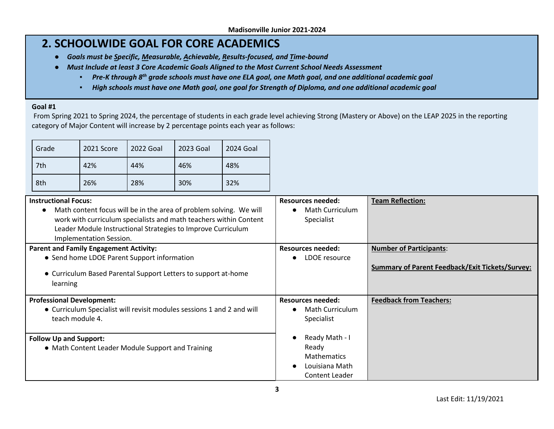## **2. SCHOOLWIDE GOAL FOR CORE ACADEMICS**

- *Goals must be Specific, Measurable, Achievable, Results-focused, and Time-bound*
- *Must Include at least 3 Core Academic Goals Aligned to the Most Current School Needs Assessment* 
	- *Pre-K through 8th grade schools must have one ELA goal, one Math goal, and one additional academic goal*
	- *High schools must have one Math goal, one goal for Strength of Diploma, and one additional academic goal*

#### **Goal #1**

From Spring 2021 to Spring 2024, the percentage of students in each grade level achieving Strong (Mastery or Above) on the LEAP 2025 in the reporting category of Major Content will increase by 2 percentage points each year as follows:

| Grade | 2021 Score | 2022 Goal | 2023 Goal | 2024 Goal |
|-------|------------|-----------|-----------|-----------|
| 7th   | 42%        | 44%       | 46%       | 48%       |
| 8th   | 26%        |           | 30%       | 32%       |

| <b>Instructional Focus:</b>                                                     | Resources needed:        | <b>Team Reflection:</b>                                |
|---------------------------------------------------------------------------------|--------------------------|--------------------------------------------------------|
| Math content focus will be in the area of problem solving. We will<br>$\bullet$ | <b>Math Curriculum</b>   |                                                        |
| work with curriculum specialists and math teachers within Content               | Specialist               |                                                        |
| Leader Module Instructional Strategies to Improve Curriculum                    |                          |                                                        |
| Implementation Session.                                                         |                          |                                                        |
| <b>Parent and Family Engagement Activity:</b>                                   | Resources needed:        | <b>Number of Participants:</b>                         |
| • Send home LDOE Parent Support information                                     | LDOE resource            |                                                        |
| • Curriculum Based Parental Support Letters to support at-home<br>learning      |                          | <b>Summary of Parent Feedback/Exit Tickets/Survey:</b> |
| <b>Professional Development:</b>                                                | <b>Resources needed:</b> | <b>Feedback from Teachers:</b>                         |
| • Curriculum Specialist will revisit modules sessions 1 and 2 and will          | <b>Math Curriculum</b>   |                                                        |
| teach module 4.                                                                 | Specialist               |                                                        |
|                                                                                 |                          |                                                        |
| <b>Follow Up and Support:</b>                                                   | Ready Math - I           |                                                        |
| • Math Content Leader Module Support and Training                               | Ready                    |                                                        |
|                                                                                 | <b>Mathematics</b>       |                                                        |
|                                                                                 | Louisiana Math           |                                                        |
|                                                                                 | Content Leader           |                                                        |

**3**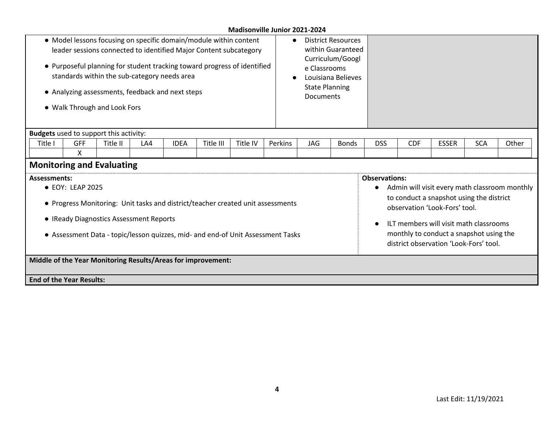| • Model lessons focusing on specific domain/module within content<br>leader sessions connected to identified Major Content subcategory<br>• Purposeful planning for student tracking toward progress of identified<br>standards within the sub-category needs area<br>• Analyzing assessments, feedback and next steps<br>• Walk Through and Look Fors |                                                                                                                                                                                                                                                                                                                                                                                                                                                                                                                                               |          |     |             |           | e Classrooms<br><b>State Planning</b><br><b>Documents</b> | <b>District Resources</b><br>within Guaranteed<br>Curriculum/Googl<br>Louisiana Believes |     |              |            |            |              |            |       |  |
|--------------------------------------------------------------------------------------------------------------------------------------------------------------------------------------------------------------------------------------------------------------------------------------------------------------------------------------------------------|-----------------------------------------------------------------------------------------------------------------------------------------------------------------------------------------------------------------------------------------------------------------------------------------------------------------------------------------------------------------------------------------------------------------------------------------------------------------------------------------------------------------------------------------------|----------|-----|-------------|-----------|-----------------------------------------------------------|------------------------------------------------------------------------------------------|-----|--------------|------------|------------|--------------|------------|-------|--|
| <b>Budgets</b> used to support this activity:                                                                                                                                                                                                                                                                                                          |                                                                                                                                                                                                                                                                                                                                                                                                                                                                                                                                               |          |     |             |           |                                                           |                                                                                          |     |              |            |            |              |            |       |  |
| Title I                                                                                                                                                                                                                                                                                                                                                | GFF                                                                                                                                                                                                                                                                                                                                                                                                                                                                                                                                           | Title II | LA4 | <b>IDEA</b> | Title III | Title IV                                                  | Perkins                                                                                  | JAG | <b>Bonds</b> | <b>DSS</b> | <b>CDF</b> | <b>ESSER</b> | <b>SCA</b> | Other |  |
|                                                                                                                                                                                                                                                                                                                                                        | X                                                                                                                                                                                                                                                                                                                                                                                                                                                                                                                                             |          |     |             |           |                                                           |                                                                                          |     |              |            |            |              |            |       |  |
| <b>Monitoring and Evaluating</b>                                                                                                                                                                                                                                                                                                                       |                                                                                                                                                                                                                                                                                                                                                                                                                                                                                                                                               |          |     |             |           |                                                           |                                                                                          |     |              |            |            |              |            |       |  |
|                                                                                                                                                                                                                                                                                                                                                        | <b>Observations:</b><br><b>Assessments:</b><br>Admin will visit every math classroom monthly<br>• EOY: LEAP 2025<br>to conduct a snapshot using the district<br>• Progress Monitoring: Unit tasks and district/teacher created unit assessments<br>observation 'Look-Fors' tool.<br>• IReady Diagnostics Assessment Reports<br>ILT members will visit math classrooms<br>monthly to conduct a snapshot using the<br>• Assessment Data - topic/lesson quizzes, mid- and end-of Unit Assessment Tasks<br>district observation 'Look-Fors' tool. |          |     |             |           |                                                           |                                                                                          |     |              |            |            |              |            |       |  |
| Middle of the Year Monitoring Results/Areas for improvement:                                                                                                                                                                                                                                                                                           |                                                                                                                                                                                                                                                                                                                                                                                                                                                                                                                                               |          |     |             |           |                                                           |                                                                                          |     |              |            |            |              |            |       |  |
| <b>End of the Year Results:</b>                                                                                                                                                                                                                                                                                                                        |                                                                                                                                                                                                                                                                                                                                                                                                                                                                                                                                               |          |     |             |           |                                                           |                                                                                          |     |              |            |            |              |            |       |  |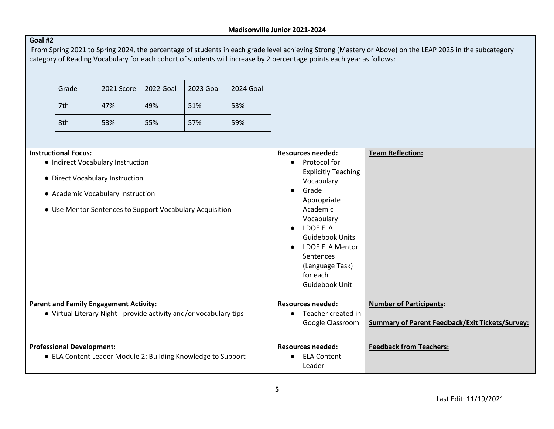#### **Goal #2**

From Spring 2021 to Spring 2024, the percentage of students in each grade level achieving Strong (Mastery or Above) on the LEAP 2025 in the subcategory category of Reading Vocabulary for each cohort of students will increase by 2 percentage points each year as follows:

| Grade | 2021 Score | 2022 Goal | 2023 Goal | 2024 Goal |
|-------|------------|-----------|-----------|-----------|
| 7th   | 47%        | 49%       | 51%       | 53%       |
| 8th   | 53%        |           | 57%       | 59%       |

| <b>Instructional Focus:</b>                                          | <b>Resources needed:</b>                                                                                                                             | <b>Team Reflection:</b>                                |
|----------------------------------------------------------------------|------------------------------------------------------------------------------------------------------------------------------------------------------|--------------------------------------------------------|
| • Indirect Vocabulary Instruction                                    | Protocol for<br>$\bullet$                                                                                                                            |                                                        |
| • Direct Vocabulary Instruction<br>• Academic Vocabulary Instruction | <b>Explicitly Teaching</b><br>Vocabulary<br>Grade<br>Appropriate                                                                                     |                                                        |
| • Use Mentor Sentences to Support Vocabulary Acquisition             | Academic<br>Vocabulary<br>LDOE ELA<br><b>Guidebook Units</b><br><b>LDOE ELA Mentor</b><br>Sentences<br>(Language Task)<br>for each<br>Guidebook Unit |                                                        |
| <b>Parent and Family Engagement Activity:</b>                        | <b>Resources needed:</b>                                                                                                                             | <b>Number of Participants:</b>                         |
| • Virtual Literary Night - provide activity and/or vocabulary tips   | Teacher created in<br>$\bullet$                                                                                                                      |                                                        |
|                                                                      | Google Classroom                                                                                                                                     | <b>Summary of Parent Feedback/Exit Tickets/Survey:</b> |
| <b>Professional Development:</b>                                     | <b>Resources needed:</b>                                                                                                                             | <b>Feedback from Teachers:</b>                         |
| • ELA Content Leader Module 2: Building Knowledge to Support         | <b>ELA Content</b><br>Leader                                                                                                                         |                                                        |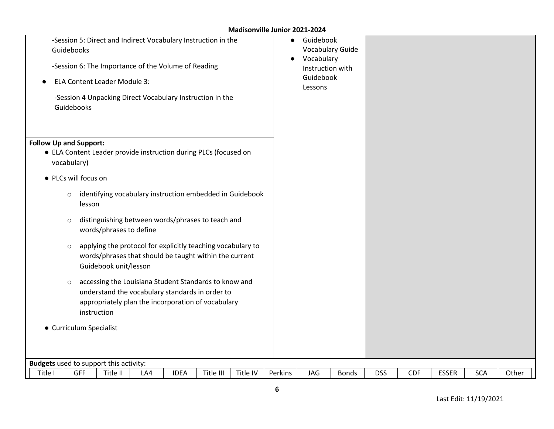| Guidebooks<br>Guidebooks                     | -Session 5: Direct and Indirect Vocabulary Instruction in the<br>-Session 6: The Importance of the Volume of Reading<br><b>ELA Content Leader Module 3:</b><br>-Session 4 Unpacking Direct Vocabulary Instruction in the |     |             |           |          | $\bullet$<br>$\bullet$ | Guidebook<br><b>Vocabulary Guide</b><br>Vocabulary<br>Instruction with<br>Guidebook<br>Lessons |              |            |            |              |            |       |
|----------------------------------------------|--------------------------------------------------------------------------------------------------------------------------------------------------------------------------------------------------------------------------|-----|-------------|-----------|----------|------------------------|------------------------------------------------------------------------------------------------|--------------|------------|------------|--------------|------------|-------|
| <b>Follow Up and Support:</b><br>vocabulary) | • ELA Content Leader provide instruction during PLCs (focused on                                                                                                                                                         |     |             |           |          |                        |                                                                                                |              |            |            |              |            |       |
|                                              | • PLCs will focus on                                                                                                                                                                                                     |     |             |           |          |                        |                                                                                                |              |            |            |              |            |       |
| $\circ$                                      | identifying vocabulary instruction embedded in Guidebook<br>lesson                                                                                                                                                       |     |             |           |          |                        |                                                                                                |              |            |            |              |            |       |
| $\circ$                                      | distinguishing between words/phrases to teach and<br>words/phrases to define                                                                                                                                             |     |             |           |          |                        |                                                                                                |              |            |            |              |            |       |
| $\circ$                                      | applying the protocol for explicitly teaching vocabulary to<br>words/phrases that should be taught within the current<br>Guidebook unit/lesson                                                                           |     |             |           |          |                        |                                                                                                |              |            |            |              |            |       |
| $\circ$                                      | accessing the Louisiana Student Standards to know and<br>understand the vocabulary standards in order to<br>appropriately plan the incorporation of vocabulary<br>instruction                                            |     |             |           |          |                        |                                                                                                |              |            |            |              |            |       |
|                                              | • Curriculum Specialist                                                                                                                                                                                                  |     |             |           |          |                        |                                                                                                |              |            |            |              |            |       |
|                                              | <b>Budgets</b> used to support this activity:                                                                                                                                                                            |     |             |           |          |                        |                                                                                                |              |            |            |              |            |       |
| Title I                                      | GFF<br>Title II                                                                                                                                                                                                          | LA4 | <b>IDEA</b> | Title III | Title IV | Perkins                | JAG                                                                                            | <b>Bonds</b> | <b>DSS</b> | <b>CDF</b> | <b>ESSER</b> | <b>SCA</b> | Other |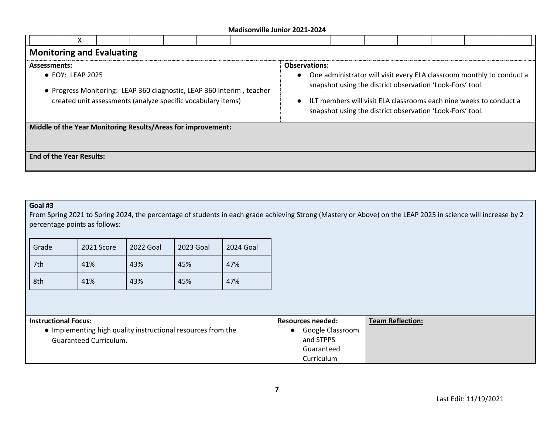|                                                                                                                                                                                          | х                                                            |  |  |  |  |  |                                   |  |                                                                                                                                                                                                                                                                       |  |  |  |  |
|------------------------------------------------------------------------------------------------------------------------------------------------------------------------------------------|--------------------------------------------------------------|--|--|--|--|--|-----------------------------------|--|-----------------------------------------------------------------------------------------------------------------------------------------------------------------------------------------------------------------------------------------------------------------------|--|--|--|--|
| <b>Monitoring and Evaluating</b>                                                                                                                                                         |                                                              |  |  |  |  |  |                                   |  |                                                                                                                                                                                                                                                                       |  |  |  |  |
| <b>Assessments:</b><br>$\bullet$ EOY: LEAP 2025<br>• Progress Monitoring: LEAP 360 diagnostic, LEAP 360 Interim, teacher<br>created unit assessments (analyze specific vocabulary items) |                                                              |  |  |  |  |  | <b>Observations:</b><br>$\bullet$ |  | One administrator will visit every ELA classroom monthly to conduct a<br>snapshot using the district observation 'Look-Fors' tool.<br>ILT members will visit ELA classrooms each nine weeks to conduct a<br>snapshot using the district observation 'Look-Fors' tool. |  |  |  |  |
|                                                                                                                                                                                          | Middle of the Year Monitoring Results/Areas for improvement: |  |  |  |  |  |                                   |  |                                                                                                                                                                                                                                                                       |  |  |  |  |
| <b>End of the Year Results:</b>                                                                                                                                                          |                                                              |  |  |  |  |  |                                   |  |                                                                                                                                                                                                                                                                       |  |  |  |  |

#### **Goal #3**

From Spring 2021 to Spring 2024, the percentage of students in each grade achieving Strong (Mastery or Above) on the LEAP 2025 in science will increase by 2 percentage points as follows:

| Grade | 2022 Goal<br>2021 Score |     | 2023 Goal | 2024 Goal |
|-------|-------------------------|-----|-----------|-----------|
| 7th   | 41%                     | 43% | 45%       | 47%       |
| 8th   | 41%                     | 43% | 45%       | 47%       |

| <b>Instructional Focus:</b>                                  | <b>Resources needed:</b> | <b>Team Reflection:</b> |
|--------------------------------------------------------------|--------------------------|-------------------------|
| • Implementing high quality instructional resources from the | Google Classroom         |                         |
| <b>Guaranteed Curriculum.</b>                                | and STPPS                |                         |
|                                                              | Guaranteed               |                         |
|                                                              | Curriculum               |                         |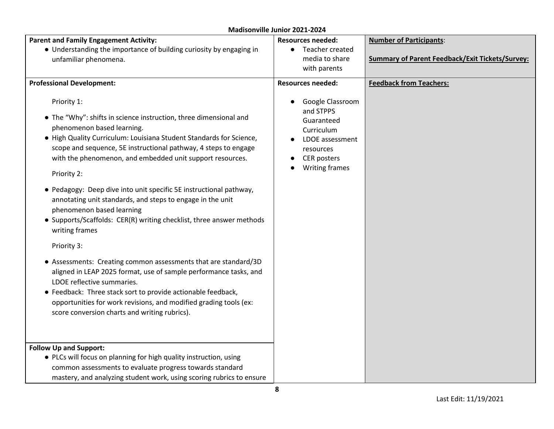| <b>Parent and Family Engagement Activity:</b>                                                                                                                                                                                                                                                                                                                                                                                                                                                                                                                                                                                                                                                                                                                                                                                                                                                                                                                              | <b>Resources needed:</b>                                                                                                                 | <b>Number of Participants:</b>                         |
|----------------------------------------------------------------------------------------------------------------------------------------------------------------------------------------------------------------------------------------------------------------------------------------------------------------------------------------------------------------------------------------------------------------------------------------------------------------------------------------------------------------------------------------------------------------------------------------------------------------------------------------------------------------------------------------------------------------------------------------------------------------------------------------------------------------------------------------------------------------------------------------------------------------------------------------------------------------------------|------------------------------------------------------------------------------------------------------------------------------------------|--------------------------------------------------------|
| • Understanding the importance of building curiosity by engaging in                                                                                                                                                                                                                                                                                                                                                                                                                                                                                                                                                                                                                                                                                                                                                                                                                                                                                                        | Teacher created                                                                                                                          |                                                        |
| unfamiliar phenomena.                                                                                                                                                                                                                                                                                                                                                                                                                                                                                                                                                                                                                                                                                                                                                                                                                                                                                                                                                      | media to share                                                                                                                           | <b>Summary of Parent Feedback/Exit Tickets/Survey:</b> |
|                                                                                                                                                                                                                                                                                                                                                                                                                                                                                                                                                                                                                                                                                                                                                                                                                                                                                                                                                                            | with parents                                                                                                                             |                                                        |
| <b>Professional Development:</b>                                                                                                                                                                                                                                                                                                                                                                                                                                                                                                                                                                                                                                                                                                                                                                                                                                                                                                                                           | <b>Resources needed:</b>                                                                                                                 | <b>Feedback from Teachers:</b>                         |
| Priority 1:<br>• The "Why": shifts in science instruction, three dimensional and<br>phenomenon based learning.<br>• High Quality Curriculum: Louisiana Student Standards for Science,<br>scope and sequence, 5E instructional pathway, 4 steps to engage<br>with the phenomenon, and embedded unit support resources.<br>Priority 2:<br>• Pedagogy: Deep dive into unit specific 5E instructional pathway,<br>annotating unit standards, and steps to engage in the unit<br>phenomenon based learning<br>• Supports/Scaffolds: CER(R) writing checklist, three answer methods<br>writing frames<br>Priority 3:<br>• Assessments: Creating common assessments that are standard/3D<br>aligned in LEAP 2025 format, use of sample performance tasks, and<br>LDOE reflective summaries.<br>• Feedback: Three stack sort to provide actionable feedback,<br>opportunities for work revisions, and modified grading tools (ex:<br>score conversion charts and writing rubrics). | Google Classroom<br>and STPPS<br>Guaranteed<br>Curriculum<br>LDOE assessment<br>resources<br><b>CER</b> posters<br><b>Writing frames</b> |                                                        |
| <b>Follow Up and Support:</b><br>• PLCs will focus on planning for high quality instruction, using<br>common assessments to evaluate progress towards standard<br>mastery, and analyzing student work, using scoring rubrics to ensure                                                                                                                                                                                                                                                                                                                                                                                                                                                                                                                                                                                                                                                                                                                                     |                                                                                                                                          |                                                        |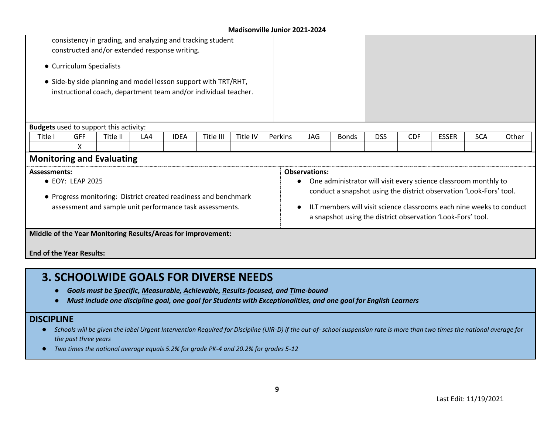|                                                              |                          | consistency in grading, and analyzing and tracking student<br>constructed and/or extended response writing.                       |     |             |           |          |         |                      |              |            |            |                                                                                                                                                                                                                                                                               |            |       |
|--------------------------------------------------------------|--------------------------|-----------------------------------------------------------------------------------------------------------------------------------|-----|-------------|-----------|----------|---------|----------------------|--------------|------------|------------|-------------------------------------------------------------------------------------------------------------------------------------------------------------------------------------------------------------------------------------------------------------------------------|------------|-------|
|                                                              | • Curriculum Specialists |                                                                                                                                   |     |             |           |          |         |                      |              |            |            |                                                                                                                                                                                                                                                                               |            |       |
|                                                              |                          | • Side-by side planning and model lesson support with TRT/RHT,<br>instructional coach, department team and/or individual teacher. |     |             |           |          |         |                      |              |            |            |                                                                                                                                                                                                                                                                               |            |       |
| <b>Budgets</b> used to support this activity:                |                          |                                                                                                                                   |     |             |           |          |         |                      |              |            |            |                                                                                                                                                                                                                                                                               |            |       |
| Title I                                                      | <b>GFF</b>               | Title II                                                                                                                          | LA4 | <b>IDEA</b> | Title III | Title IV | Perkins | <b>JAG</b>           | <b>Bonds</b> | <b>DSS</b> | <b>CDF</b> | <b>ESSER</b>                                                                                                                                                                                                                                                                  | <b>SCA</b> | Other |
|                                                              | X                        |                                                                                                                                   |     |             |           |          |         |                      |              |            |            |                                                                                                                                                                                                                                                                               |            |       |
| <b>Monitoring and Evaluating</b>                             |                          |                                                                                                                                   |     |             |           |          |         |                      |              |            |            |                                                                                                                                                                                                                                                                               |            |       |
| <b>Assessments:</b>                                          | • EOY: LEAP 2025         | • Progress monitoring: District created readiness and benchmark<br>assessment and sample unit performance task assessments.       |     |             |           |          |         | <b>Observations:</b> |              |            |            | One administrator will visit every science classroom monthly to<br>conduct a snapshot using the district observation 'Look-Fors' tool.<br>ILT members will visit science classrooms each nine weeks to conduct<br>a snapshot using the district observation 'Look-Fors' tool. |            |       |
| Middle of the Year Monitoring Results/Areas for improvement: |                          |                                                                                                                                   |     |             |           |          |         |                      |              |            |            |                                                                                                                                                                                                                                                                               |            |       |
| <b>End of the Year Results:</b>                              |                          |                                                                                                                                   |     |             |           |          |         |                      |              |            |            |                                                                                                                                                                                                                                                                               |            |       |

## **3. SCHOOLWIDE GOALS FOR DIVERSE NEEDS**

- *Goals must be Specific, Measurable, Achievable, Results-focused, and Time-bound*
- *Must include one discipline goal, one goal for Students with Exceptionalities, and one goal for English Learners*

#### **DISCIPLINE**

- Schools will be given the label Urgent Intervention Required for Discipline (UIR-D) if the out-of- school suspension rate is more than two times the national average for *the past three years*
- *Two times the national average equals 5.2% for grade PK-4 and 20.2% for grades 5-12*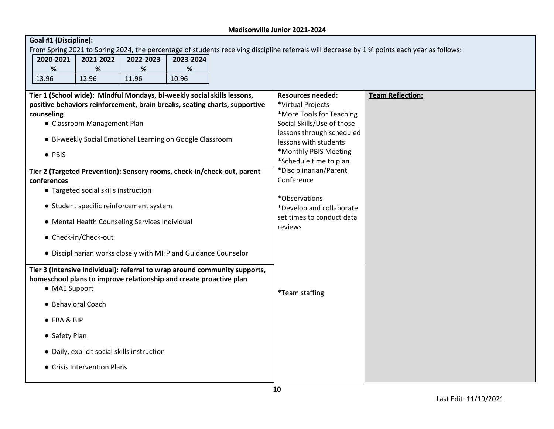| Goal #1 (Discipline):                                                   |                                             |                                                                |           |                                                                            |                                                    |                                                                                                                                              |
|-------------------------------------------------------------------------|---------------------------------------------|----------------------------------------------------------------|-----------|----------------------------------------------------------------------------|----------------------------------------------------|----------------------------------------------------------------------------------------------------------------------------------------------|
|                                                                         |                                             |                                                                |           |                                                                            |                                                    | From Spring 2021 to Spring 2024, the percentage of students receiving discipline referrals will decrease by 1 % points each year as follows: |
| 2020-2021                                                               | 2021-2022                                   | 2022-2023                                                      | 2023-2024 |                                                                            |                                                    |                                                                                                                                              |
| %                                                                       | %                                           | %                                                              | %         |                                                                            |                                                    |                                                                                                                                              |
| 13.96                                                                   | 12.96                                       | 11.96                                                          | 10.96     |                                                                            |                                                    |                                                                                                                                              |
|                                                                         |                                             |                                                                |           |                                                                            |                                                    |                                                                                                                                              |
| Tier 1 (School wide): Mindful Mondays, bi-weekly social skills lessons, |                                             |                                                                |           |                                                                            | <b>Resources needed:</b>                           | <b>Team Reflection:</b>                                                                                                                      |
|                                                                         |                                             |                                                                |           | positive behaviors reinforcement, brain breaks, seating charts, supportive | *Virtual Projects                                  |                                                                                                                                              |
| counseling                                                              |                                             |                                                                |           |                                                                            | *More Tools for Teaching                           |                                                                                                                                              |
|                                                                         | • Classroom Management Plan                 |                                                                |           |                                                                            | Social Skills/Use of those                         |                                                                                                                                              |
|                                                                         |                                             | • Bi-weekly Social Emotional Learning on Google Classroom      |           |                                                                            | lessons through scheduled<br>lessons with students |                                                                                                                                              |
|                                                                         |                                             |                                                                |           |                                                                            | *Monthly PBIS Meeting                              |                                                                                                                                              |
| • PBIS                                                                  |                                             |                                                                |           |                                                                            | *Schedule time to plan                             |                                                                                                                                              |
|                                                                         |                                             |                                                                |           | Tier 2 (Targeted Prevention): Sensory rooms, check-in/check-out, parent    | *Disciplinarian/Parent                             |                                                                                                                                              |
| conferences                                                             |                                             |                                                                |           |                                                                            | Conference                                         |                                                                                                                                              |
|                                                                         | • Targeted social skills instruction        |                                                                |           |                                                                            |                                                    |                                                                                                                                              |
|                                                                         |                                             |                                                                |           |                                                                            | *Observations                                      |                                                                                                                                              |
|                                                                         |                                             | • Student specific reinforcement system                        |           |                                                                            | *Develop and collaborate                           |                                                                                                                                              |
|                                                                         |                                             |                                                                |           |                                                                            | set times to conduct data                          |                                                                                                                                              |
|                                                                         |                                             | • Mental Health Counseling Services Individual                 |           |                                                                            | reviews                                            |                                                                                                                                              |
|                                                                         | • Check-in/Check-out                        |                                                                |           |                                                                            |                                                    |                                                                                                                                              |
|                                                                         |                                             |                                                                |           |                                                                            |                                                    |                                                                                                                                              |
|                                                                         |                                             | • Disciplinarian works closely with MHP and Guidance Counselor |           |                                                                            |                                                    |                                                                                                                                              |
|                                                                         |                                             |                                                                |           | Tier 3 (Intensive Individual): referral to wrap around community supports, |                                                    |                                                                                                                                              |
| homeschool plans to improve relationship and create proactive plan      |                                             |                                                                |           |                                                                            |                                                    |                                                                                                                                              |
| • MAE Support                                                           |                                             |                                                                |           |                                                                            |                                                    |                                                                                                                                              |
|                                                                         |                                             |                                                                |           |                                                                            | <i>*</i> Team staffing                             |                                                                                                                                              |
| • Behavioral Coach                                                      |                                             |                                                                |           |                                                                            |                                                    |                                                                                                                                              |
| • FBA & BIP                                                             |                                             |                                                                |           |                                                                            |                                                    |                                                                                                                                              |
|                                                                         |                                             |                                                                |           |                                                                            |                                                    |                                                                                                                                              |
| • Safety Plan                                                           |                                             |                                                                |           |                                                                            |                                                    |                                                                                                                                              |
|                                                                         |                                             |                                                                |           |                                                                            |                                                    |                                                                                                                                              |
|                                                                         | • Daily, explicit social skills instruction |                                                                |           |                                                                            |                                                    |                                                                                                                                              |
|                                                                         | • Crisis Intervention Plans                 |                                                                |           |                                                                            |                                                    |                                                                                                                                              |
|                                                                         |                                             |                                                                |           |                                                                            |                                                    |                                                                                                                                              |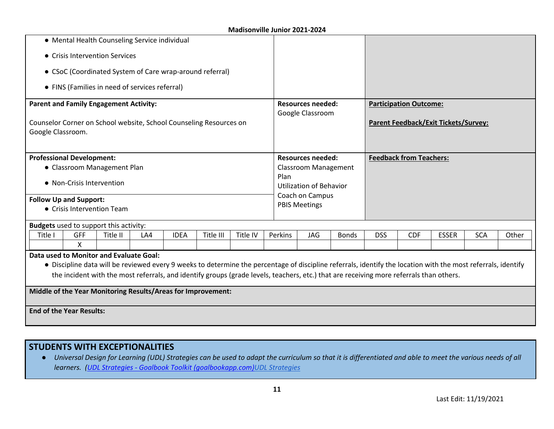|                                                              |                                                                                                                             | • Mental Health Counseling Service individual  |     |             |                                                          |          |                                                                                                                                         |                                                         |              |            |                                |                                                                                                                                                               |            |       |
|--------------------------------------------------------------|-----------------------------------------------------------------------------------------------------------------------------|------------------------------------------------|-----|-------------|----------------------------------------------------------|----------|-----------------------------------------------------------------------------------------------------------------------------------------|---------------------------------------------------------|--------------|------------|--------------------------------|---------------------------------------------------------------------------------------------------------------------------------------------------------------|------------|-------|
|                                                              |                                                                                                                             | • Crisis Intervention Services                 |     |             |                                                          |          |                                                                                                                                         |                                                         |              |            |                                |                                                                                                                                                               |            |       |
|                                                              |                                                                                                                             |                                                |     |             | • CSoC (Coordinated System of Care wrap-around referral) |          |                                                                                                                                         |                                                         |              |            |                                |                                                                                                                                                               |            |       |
|                                                              |                                                                                                                             | • FINS (Families in need of services referral) |     |             |                                                          |          |                                                                                                                                         |                                                         |              |            |                                |                                                                                                                                                               |            |       |
| <b>Parent and Family Engagement Activity:</b>                |                                                                                                                             |                                                |     |             |                                                          |          |                                                                                                                                         | <b>Resources needed:</b>                                |              |            | <b>Participation Outcome:</b>  |                                                                                                                                                               |            |       |
|                                                              | Counselor Corner on School website, School Counseling Resources on<br>Google Classroom.<br><b>Professional Development:</b> |                                                |     |             |                                                          |          |                                                                                                                                         | Google Classroom                                        |              |            |                                | <b>Parent Feedback/Exit Tickets/Survey:</b>                                                                                                                   |            |       |
|                                                              |                                                                                                                             | • Classroom Management Plan                    |     |             |                                                          |          |                                                                                                                                         | <b>Resources needed:</b><br><b>Classroom Management</b> |              |            | <b>Feedback from Teachers:</b> |                                                                                                                                                               |            |       |
|                                                              | • Non-Crisis Intervention                                                                                                   |                                                |     |             |                                                          |          | Plan                                                                                                                                    | <b>Utilization of Behavior</b>                          |              |            |                                |                                                                                                                                                               |            |       |
| <b>Follow Up and Support:</b>                                |                                                                                                                             | • Crisis Intervention Team                     |     |             |                                                          |          |                                                                                                                                         | Coach on Campus<br><b>PBIS Meetings</b>                 |              |            |                                |                                                                                                                                                               |            |       |
| <b>Budgets</b> used to support this activity:                |                                                                                                                             |                                                |     |             |                                                          |          |                                                                                                                                         |                                                         |              |            |                                |                                                                                                                                                               |            |       |
| Title I                                                      | GFF<br>X                                                                                                                    | Title II                                       | LA4 | <b>IDEA</b> | Title III                                                | Title IV | Perkins                                                                                                                                 | JAG                                                     | <b>Bonds</b> | <b>DSS</b> | <b>CDF</b>                     | <b>ESSER</b>                                                                                                                                                  | <b>SCA</b> | Other |
| Data used to Monitor and Evaluate Goal:                      |                                                                                                                             |                                                |     |             |                                                          |          | the incident with the most referrals, and identify groups (grade levels, teachers, etc.) that are receiving more referrals than others. |                                                         |              |            |                                | • Discipline data will be reviewed every 9 weeks to determine the percentage of discipline referrals, identify the location with the most referrals, identify |            |       |
| Middle of the Year Monitoring Results/Areas for Improvement: |                                                                                                                             |                                                |     |             |                                                          |          |                                                                                                                                         |                                                         |              |            |                                |                                                                                                                                                               |            |       |
| <b>End of the Year Results:</b>                              |                                                                                                                             |                                                |     |             |                                                          |          |                                                                                                                                         |                                                         |              |            |                                |                                                                                                                                                               |            |       |

#### **STUDENTS WITH EXCEPTIONALITIES**

● *Universal Design for Learning (UDL) Strategies can be used to adapt the curriculum so that it is differentiated and able to meet the various needs of all learners. (UDL Strategies - [Goalbook Toolkit \(goalbookapp.com\)UDL Strategies](https://goalbookapp.com/toolkit/v/strategies)*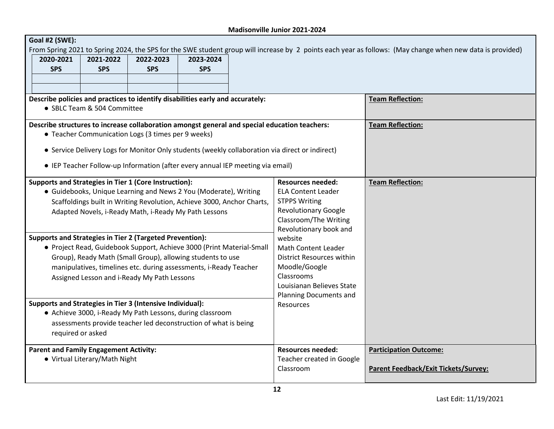| Goal #2 (SWE):                                                                 |                               |                                                    |                                                                                                                                                                                                          |                                                                                                                                                                                                  |                                                                                                                                                           |
|--------------------------------------------------------------------------------|-------------------------------|----------------------------------------------------|----------------------------------------------------------------------------------------------------------------------------------------------------------------------------------------------------------|--------------------------------------------------------------------------------------------------------------------------------------------------------------------------------------------------|-----------------------------------------------------------------------------------------------------------------------------------------------------------|
| 2020-2021<br><b>SPS</b>                                                        | 2021-2022<br><b>SPS</b>       | 2022-2023<br><b>SPS</b>                            | 2023-2024<br><b>SPS</b>                                                                                                                                                                                  |                                                                                                                                                                                                  | From Spring 2021 to Spring 2024, the SPS for the SWE student group will increase by 2 points each year as follows: (May change when new data is provided) |
|                                                                                | • SBLC Team & 504 Committee   |                                                    | Describe policies and practices to identify disabilities early and accurately:                                                                                                                           |                                                                                                                                                                                                  | <b>Team Reflection:</b>                                                                                                                                   |
|                                                                                |                               | • Teacher Communication Logs (3 times per 9 weeks) | • IEP Teacher Follow-up Information (after every annual IEP meeting via email)                                                                                                                           | Describe structures to increase collaboration amongst general and special education teachers:<br>• Service Delivery Logs for Monitor Only students (weekly collaboration via direct or indirect) | <b>Team Reflection:</b>                                                                                                                                   |
| Supports and Strategies in Tier 1 (Core Instruction):                          |                               |                                                    | • Guidebooks, Unique Learning and News 2 You (Moderate), Writing<br>Scaffoldings built in Writing Revolution, Achieve 3000, Anchor Charts,<br>Adapted Novels, i-Ready Math, i-Ready My Path Lessons      | <b>Resources needed:</b><br><b>ELA Content Leader</b><br><b>STPPS Writing</b><br><b>Revolutionary Google</b><br>Classroom/The Writing<br>Revolutionary book and                                  | <b>Team Reflection:</b>                                                                                                                                   |
| <b>Supports and Strategies in Tier 2 (Targeted Prevention):</b>                |                               | Assigned Lesson and i-Ready My Path Lessons        | • Project Read, Guidebook Support, Achieve 3000 (Print Material-Small<br>Group), Ready Math (Small Group), allowing students to use<br>manipulatives, timelines etc. during assessments, i-Ready Teacher | website<br><b>Math Content Leader</b><br>District Resources within<br>Moodle/Google<br>Classrooms<br>Louisianan Believes State<br>Planning Documents and                                         |                                                                                                                                                           |
| Supports and Strategies in Tier 3 (Intensive Individual):<br>required or asked |                               |                                                    | • Achieve 3000, i-Ready My Path Lessons, during classroom<br>assessments provide teacher led deconstruction of what is being                                                                             | Resources                                                                                                                                                                                        |                                                                                                                                                           |
| <b>Parent and Family Engagement Activity:</b>                                  | • Virtual Literary/Math Night |                                                    |                                                                                                                                                                                                          | <b>Resources needed:</b><br>Teacher created in Google<br>Classroom                                                                                                                               | <b>Participation Outcome:</b><br>Parent Feedback/Exit Tickets/Survey:                                                                                     |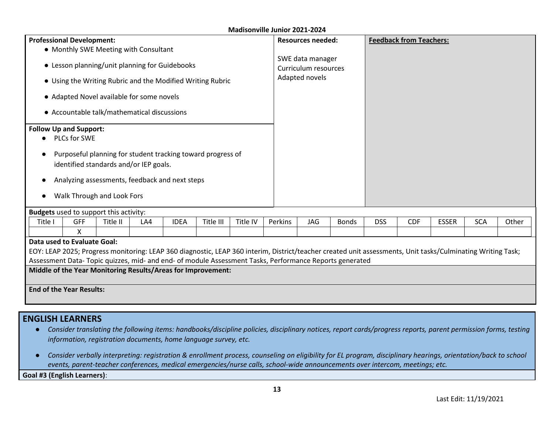| <b>Professional Development:</b>                                                                      |                                                                                                                                                                                                                                                                        |                                                |     |             |                                                            | IVIQUIJUIIVIIIL JUIIIUI LULI-L |  |                | <b>Resources needed:</b> |              |            | <b>Feedback from Teachers:</b> |              |            |       |
|-------------------------------------------------------------------------------------------------------|------------------------------------------------------------------------------------------------------------------------------------------------------------------------------------------------------------------------------------------------------------------------|------------------------------------------------|-----|-------------|------------------------------------------------------------|--------------------------------|--|----------------|--------------------------|--------------|------------|--------------------------------|--------------|------------|-------|
|                                                                                                       | • Monthly SWE Meeting with Consultant                                                                                                                                                                                                                                  |                                                |     |             |                                                            |                                |  |                |                          |              |            |                                |              |            |       |
|                                                                                                       |                                                                                                                                                                                                                                                                        |                                                |     |             |                                                            |                                |  |                | SWE data manager         |              |            |                                |              |            |       |
|                                                                                                       |                                                                                                                                                                                                                                                                        | • Lesson planning/unit planning for Guidebooks |     |             |                                                            |                                |  |                | Curriculum resources     |              |            |                                |              |            |       |
|                                                                                                       |                                                                                                                                                                                                                                                                        |                                                |     |             | • Using the Writing Rubric and the Modified Writing Rubric |                                |  | Adapted novels |                          |              |            |                                |              |            |       |
|                                                                                                       |                                                                                                                                                                                                                                                                        | • Adapted Novel available for some novels      |     |             |                                                            |                                |  |                |                          |              |            |                                |              |            |       |
|                                                                                                       |                                                                                                                                                                                                                                                                        | • Accountable talk/mathematical discussions    |     |             |                                                            |                                |  |                |                          |              |            |                                |              |            |       |
| <b>Follow Up and Support:</b><br><b>PLCs for SWE</b>                                                  |                                                                                                                                                                                                                                                                        |                                                |     |             |                                                            |                                |  |                |                          |              |            |                                |              |            |       |
| Purposeful planning for student tracking toward progress of<br>identified standards and/or IEP goals. |                                                                                                                                                                                                                                                                        |                                                |     |             |                                                            |                                |  |                |                          |              |            |                                |              |            |       |
|                                                                                                       |                                                                                                                                                                                                                                                                        | Analyzing assessments, feedback and next steps |     |             |                                                            |                                |  |                |                          |              |            |                                |              |            |       |
|                                                                                                       |                                                                                                                                                                                                                                                                        |                                                |     |             |                                                            |                                |  |                |                          |              |            |                                |              |            |       |
|                                                                                                       |                                                                                                                                                                                                                                                                        | Walk Through and Look Fors                     |     |             |                                                            |                                |  |                |                          |              |            |                                |              |            |       |
| <b>Budgets</b> used to support this activity:                                                         |                                                                                                                                                                                                                                                                        |                                                |     |             |                                                            |                                |  |                |                          |              |            |                                |              |            |       |
| Title I                                                                                               | <b>GFF</b>                                                                                                                                                                                                                                                             | Title II                                       | LA4 | <b>IDEA</b> | Title III                                                  | Title IV                       |  | Perkins        | <b>JAG</b>               | <b>Bonds</b> | <b>DSS</b> | <b>CDF</b>                     | <b>ESSER</b> | <b>SCA</b> | Other |
|                                                                                                       | X                                                                                                                                                                                                                                                                      |                                                |     |             |                                                            |                                |  |                |                          |              |            |                                |              |            |       |
| Data used to Evaluate Goal:                                                                           |                                                                                                                                                                                                                                                                        |                                                |     |             |                                                            |                                |  |                |                          |              |            |                                |              |            |       |
|                                                                                                       |                                                                                                                                                                                                                                                                        |                                                |     |             |                                                            |                                |  |                |                          |              |            |                                |              |            |       |
|                                                                                                       | EOY: LEAP 2025; Progress monitoring: LEAP 360 diagnostic, LEAP 360 interim, District/teacher created unit assessments, Unit tasks/Culminating Writing Task;<br>Assessment Data- Topic quizzes, mid- and end- of module Assessment Tasks, Performance Reports generated |                                                |     |             |                                                            |                                |  |                |                          |              |            |                                |              |            |       |
| Middle of the Year Monitoring Results/Areas for Improvement:                                          |                                                                                                                                                                                                                                                                        |                                                |     |             |                                                            |                                |  |                |                          |              |            |                                |              |            |       |
|                                                                                                       |                                                                                                                                                                                                                                                                        |                                                |     |             |                                                            |                                |  |                |                          |              |            |                                |              |            |       |
|                                                                                                       | <b>End of the Year Results:</b>                                                                                                                                                                                                                                        |                                                |     |             |                                                            |                                |  |                |                          |              |            |                                |              |            |       |
|                                                                                                       |                                                                                                                                                                                                                                                                        |                                                |     |             |                                                            |                                |  |                |                          |              |            |                                |              |            |       |
|                                                                                                       |                                                                                                                                                                                                                                                                        |                                                |     |             |                                                            |                                |  |                |                          |              |            |                                |              |            |       |

## **ENGLISH LEARNERS**

- *Consider translating the following items: handbooks/discipline policies, disciplinary notices, report cards/progress reports, parent permission forms, testing information, registration documents, home language survey, etc.*
- *Consider verbally interpreting: registration & enrollment process, counseling on eligibility for EL program, disciplinary hearings, orientation/back to school events, parent-teacher conferences, medical emergencies/nurse calls, school-wide announcements over intercom, meetings; etc.*

**Goal #3 (English Learners)**: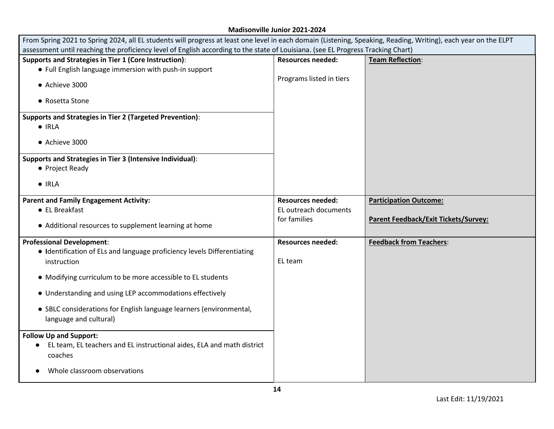г

| From Spring 2021 to Spring 2024, all EL students will progress at least one level in each domain (Listening, Speaking, Reading, Writing), each year on the ELPT<br>assessment until reaching the proficiency level of English according to the state of Louisiana. (see EL Progress Tracking Chart)                                                                                                                                                                                                          |                                                                   |                                                                              |
|--------------------------------------------------------------------------------------------------------------------------------------------------------------------------------------------------------------------------------------------------------------------------------------------------------------------------------------------------------------------------------------------------------------------------------------------------------------------------------------------------------------|-------------------------------------------------------------------|------------------------------------------------------------------------------|
| Supports and Strategies in Tier 1 (Core Instruction):<br>• Full English language immersion with push-in support<br>• Achieve 3000<br>• Rosetta Stone<br><b>Supports and Strategies in Tier 2 (Targeted Prevention):</b><br>$\bullet$ IRLA<br>• Achieve 3000<br>Supports and Strategies in Tier 3 (Intensive Individual):<br>• Project Ready                                                                                                                                                                  | <b>Resources needed:</b><br>Programs listed in tiers              | <b>Team Reflection:</b>                                                      |
| $\bullet$ IRLA<br><b>Parent and Family Engagement Activity:</b><br>• EL Breakfast<br>• Additional resources to supplement learning at home                                                                                                                                                                                                                                                                                                                                                                   | <b>Resources needed:</b><br>EL outreach documents<br>for families | <b>Participation Outcome:</b><br><b>Parent Feedback/Exit Tickets/Survey:</b> |
| <b>Professional Development:</b><br>• Identification of ELs and language proficiency levels Differentiating<br>instruction<br>• Modifying curriculum to be more accessible to EL students<br>• Understanding and using LEP accommodations effectively<br>• SBLC considerations for English language learners (environmental,<br>language and cultural)<br><b>Follow Up and Support:</b><br>EL team, EL teachers and EL instructional aides, ELA and math district<br>coaches<br>Whole classroom observations | <b>Resources needed:</b><br>EL team                               | <b>Feedback from Teachers:</b>                                               |
|                                                                                                                                                                                                                                                                                                                                                                                                                                                                                                              |                                                                   |                                                                              |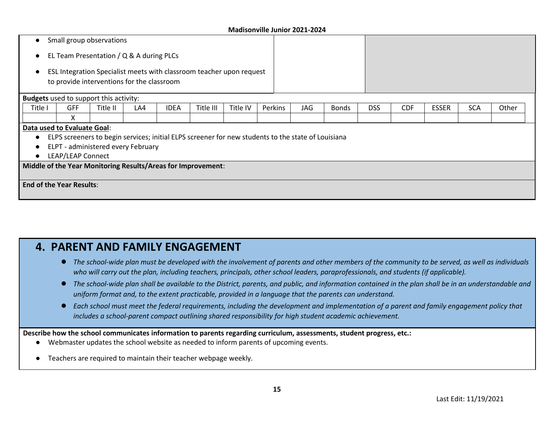| Small group observations<br>٠                                                                                      |                                                              |          |     |             |           |          |         |                                                                                                    |              |            |            |              |            |       |
|--------------------------------------------------------------------------------------------------------------------|--------------------------------------------------------------|----------|-----|-------------|-----------|----------|---------|----------------------------------------------------------------------------------------------------|--------------|------------|------------|--------------|------------|-------|
|                                                                                                                    | EL Team Presentation / Q & A during PLCs                     |          |     |             |           |          |         |                                                                                                    |              |            |            |              |            |       |
| ESL Integration Specialist meets with classroom teacher upon request<br>to provide interventions for the classroom |                                                              |          |     |             |           |          |         |                                                                                                    |              |            |            |              |            |       |
|                                                                                                                    | <b>Budgets</b> used to support this activity:                |          |     |             |           |          |         |                                                                                                    |              |            |            |              |            |       |
| Title I                                                                                                            | <b>GFF</b>                                                   | Title II | LA4 | <b>IDEA</b> | Title III | Title IV | Perkins | JAG                                                                                                | <b>Bonds</b> | <b>DSS</b> | <b>CDF</b> | <b>ESSER</b> | <b>SCA</b> | Other |
|                                                                                                                    | X                                                            |          |     |             |           |          |         |                                                                                                    |              |            |            |              |            |       |
|                                                                                                                    | Data used to Evaluate Goal:                                  |          |     |             |           |          |         |                                                                                                    |              |            |            |              |            |       |
| $\bullet$                                                                                                          |                                                              |          |     |             |           |          |         | ELPS screeners to begin services; initial ELPS screener for new students to the state of Louisiana |              |            |            |              |            |       |
|                                                                                                                    | ELPT - administered every February                           |          |     |             |           |          |         |                                                                                                    |              |            |            |              |            |       |
| $\bullet$                                                                                                          | LEAP/LEAP Connect                                            |          |     |             |           |          |         |                                                                                                    |              |            |            |              |            |       |
|                                                                                                                    | Middle of the Year Monitoring Results/Areas for Improvement: |          |     |             |           |          |         |                                                                                                    |              |            |            |              |            |       |
|                                                                                                                    | <b>End of the Year Results:</b>                              |          |     |             |           |          |         |                                                                                                    |              |            |            |              |            |       |

## **4. PARENT AND FAMILY ENGAGEMENT**

- The school-wide plan must be developed with the involvement of parents and other members of the community to be served, as well as individuals *who will carry out the plan, including teachers, principals, other school leaders, paraprofessionals, and students (if applicable).*
- The school-wide plan shall be available to the District, parents, and public, and information contained in the plan shall be in an understandable and *uniform format and, to the extent practicable, provided in a language that the parents can understand.*
- *Each school must meet the federal requirements, including the development and implementation of a parent and family engagement policy that includes a school-parent compact outlining shared responsibility for high student academic achievement.*

**Describe how the school communicates information to parents regarding curriculum, assessments, student progress, etc.:** 

- Webmaster updates the school website as needed to inform parents of upcoming events.
- Teachers are required to maintain their teacher webpage weekly.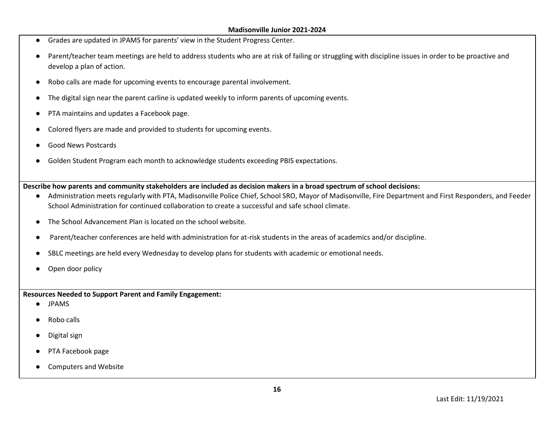- Grades are updated in JPAMS for parents' view in the Student Progress Center.
- Parent/teacher team meetings are held to address students who are at risk of failing or struggling with discipline issues in order to be proactive and develop a plan of action.
- Robo calls are made for upcoming events to encourage parental involvement.
- The digital sign near the parent carline is updated weekly to inform parents of upcoming events.
- PTA maintains and updates a Facebook page.
- Colored flyers are made and provided to students for upcoming events.
- Good News Postcards
- Golden Student Program each month to acknowledge students exceeding PBIS expectations.

**Describe how parents and community stakeholders are included as decision makers in a broad spectrum of school decisions:**

- Administration meets regularly with PTA, Madisonville Police Chief, School SRO, Mayor of Madisonville, Fire Department and First Responders, and Feeder School Administration for continued collaboration to create a successful and safe school climate.
- The School Advancement Plan is located on the school website.
- Parent/teacher conferences are held with administration for at-risk students in the areas of academics and/or discipline.
- SBLC meetings are held every Wednesday to develop plans for students with academic or emotional needs.
- Open door policy

**Resources Needed to Support Parent and Family Engagement:** 

- JPAMS
- Robo calls
- Digital sign
- PTA Facebook page
- Computers and Website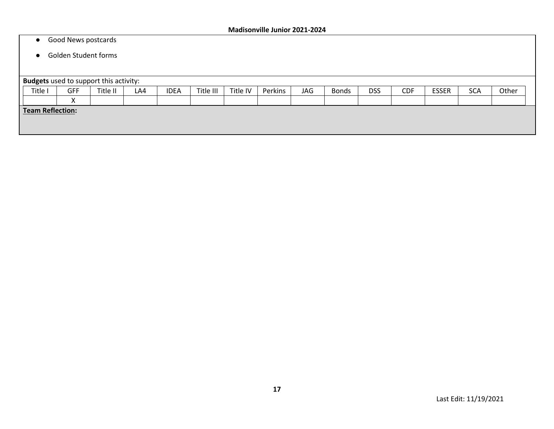#### ● Good News postcards

#### ● Golden Student forms

| Title I | GFF                       | Title II                | LA4 | <b>IDEA</b>                                   | Title III | Title IV | Perkins | JAG | <b>Bonds</b> | <b>DSS</b> | <b>CDF</b> | <b>ESSER</b> | <b>SCA</b> | Other |  |
|---------|---------------------------|-------------------------|-----|-----------------------------------------------|-----------|----------|---------|-----|--------------|------------|------------|--------------|------------|-------|--|
|         | $\mathbf{v}$<br>$\lambda$ |                         |     |                                               |           |          |         |     |              |            |            |              |            |       |  |
|         |                           |                         |     |                                               |           |          |         |     |              |            |            |              |            |       |  |
|         |                           |                         |     |                                               |           |          |         |     |              |            |            |              |            |       |  |
|         |                           |                         |     |                                               |           |          |         |     |              |            |            |              |            |       |  |
|         |                           | <b>Team Reflection:</b> |     | <b>Budgets</b> used to support this activity: |           |          |         |     |              |            |            |              |            |       |  |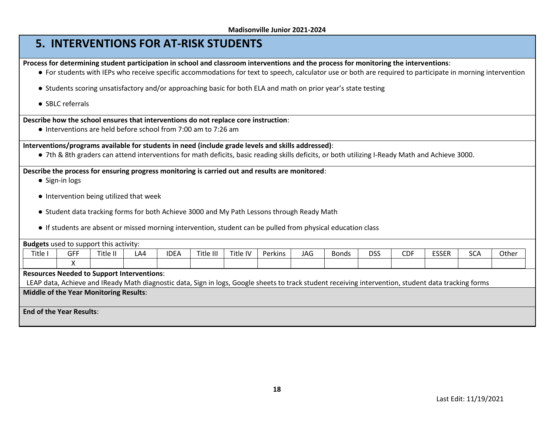## **5. INTERVENTIONS FOR AT-RISK STUDENTS**

**Process for determining student participation in school and classroom interventions and the process for monitoring the interventions**:

- For students with IEPs who receive specific accommodations for text to speech, calculator use or both are required to participate in morning intervention
- Students scoring unsatisfactory and/or approaching basic for both ELA and math on prior year's state testing
- SBLC referrals

#### **Describe how the school ensures that interventions do not replace core instruction**:

● Interventions are held before school from 7:00 am to 7:26 am

**Interventions/programs available for students in need (include grade levels and skills addressed)**:

● 7th & 8th graders can attend interventions for math deficits, basic reading skills deficits, or both utilizing I-Ready Math and Achieve 3000.

#### **Describe the process for ensuring progress monitoring is carried out and results are monitored**:

- Sign-in logs
- Intervention being utilized that week
- Student data tracking forms for both Achieve 3000 and My Path Lessons through Ready Math
- If students are absent or missed morning intervention, student can be pulled from physical education class

|                                                   | <b>Budgets</b> used to support this activity:                                                                                                        |          |     |             |           |          |         |     |              |            |            |              |            |       |
|---------------------------------------------------|------------------------------------------------------------------------------------------------------------------------------------------------------|----------|-----|-------------|-----------|----------|---------|-----|--------------|------------|------------|--------------|------------|-------|
| Title I                                           | <b>GFF</b>                                                                                                                                           | Title II | LA4 | <b>IDEA</b> | Title III | Title IV | Perkins | JAG | <b>Bonds</b> | <b>DSS</b> | <b>CDF</b> | <b>ESSER</b> | <b>SCA</b> | Other |
|                                                   |                                                                                                                                                      |          |     |             |           |          |         |     |              |            |            |              |            |       |
| <b>Resources Needed to Support Interventions:</b> |                                                                                                                                                      |          |     |             |           |          |         |     |              |            |            |              |            |       |
|                                                   | LEAP data, Achieve and IReady Math diagnostic data, Sign in logs, Google sheets to track student receiving intervention, student data tracking forms |          |     |             |           |          |         |     |              |            |            |              |            |       |
| <b>Middle of the Year Monitoring Results:</b>     |                                                                                                                                                      |          |     |             |           |          |         |     |              |            |            |              |            |       |
|                                                   |                                                                                                                                                      |          |     |             |           |          |         |     |              |            |            |              |            |       |
| <b>End of the Year Results:</b>                   |                                                                                                                                                      |          |     |             |           |          |         |     |              |            |            |              |            |       |
|                                                   |                                                                                                                                                      |          |     |             |           |          |         |     |              |            |            |              |            |       |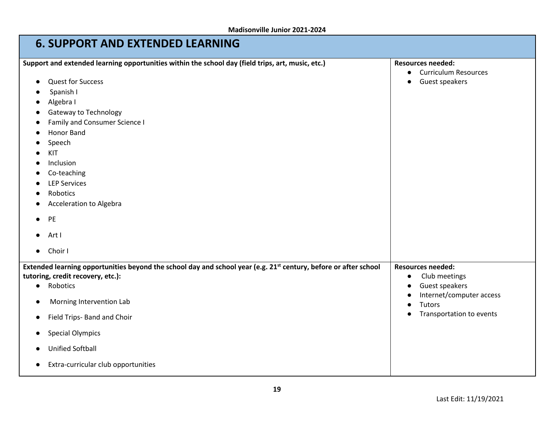| IVIAUISUIIVIIIE JUIIIUI ZUZI-ZUZT                                                                                                                                                                                                                                                                                                                                         |                                                                                                                               |
|---------------------------------------------------------------------------------------------------------------------------------------------------------------------------------------------------------------------------------------------------------------------------------------------------------------------------------------------------------------------------|-------------------------------------------------------------------------------------------------------------------------------|
| <b>6. SUPPORT AND EXTENDED LEARNING</b>                                                                                                                                                                                                                                                                                                                                   |                                                                                                                               |
| Support and extended learning opportunities within the school day (field trips, art, music, etc.)<br><b>Quest for Success</b><br>$\bullet$<br>Spanish I<br>Algebra I<br>Gateway to Technology<br><b>Family and Consumer Science I</b>                                                                                                                                     | <b>Resources needed:</b><br><b>Curriculum Resources</b><br>Guest speakers                                                     |
| Honor Band<br>Speech<br>KIT<br>Inclusion<br>Co-teaching<br><b>LEP Services</b><br>Robotics<br><b>Acceleration to Algebra</b><br>PE<br>Art I<br>Choir I                                                                                                                                                                                                                    |                                                                                                                               |
| Extended learning opportunities beyond the school day and school year (e.g. 21 <sup>st</sup> century, before or after school<br>tutoring, credit recovery, etc.):<br>Robotics<br>$\bullet$<br>Morning Intervention Lab<br>с<br>Field Trips- Band and Choir<br>$\bullet$<br><b>Special Olympics</b><br><b>Unified Softball</b><br>Extra-curricular club opportunities<br>с | <b>Resources needed:</b><br>Club meetings<br>Guest speakers<br>Internet/computer access<br>Tutors<br>Transportation to events |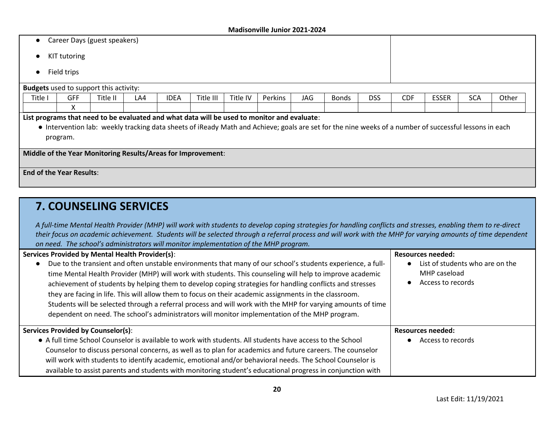- Career Days (guest speakers)
- KIT tutoring
- Field trips

|         |                                                                                                                                                                                                                                                       | <b>Budgets</b> used to support this activity:                |     |             |           |          |         |     |              |            |            |              |            |       |
|---------|-------------------------------------------------------------------------------------------------------------------------------------------------------------------------------------------------------------------------------------------------------|--------------------------------------------------------------|-----|-------------|-----------|----------|---------|-----|--------------|------------|------------|--------------|------------|-------|
| Title I | <b>GFF</b>                                                                                                                                                                                                                                            | Title II                                                     | LA4 | <b>IDEA</b> | Title III | Title IV | Perkins | JAG | <b>Bonds</b> | <b>DSS</b> | <b>CDF</b> | <b>ESSER</b> | <b>SCA</b> | Other |
|         | $\lambda$                                                                                                                                                                                                                                             |                                                              |     |             |           |          |         |     |              |            |            |              |            |       |
|         |                                                                                                                                                                                                                                                       |                                                              |     |             |           |          |         |     |              |            |            |              |            |       |
|         | List programs that need to be evaluated and what data will be used to monitor and evaluate:<br>• Intervention lab: weekly tracking data sheets of iReady Math and Achieve; goals are set for the nine weeks of a number of successful lessons in each |                                                              |     |             |           |          |         |     |              |            |            |              |            |       |
|         | program.                                                                                                                                                                                                                                              |                                                              |     |             |           |          |         |     |              |            |            |              |            |       |
|         |                                                                                                                                                                                                                                                       |                                                              |     |             |           |          |         |     |              |            |            |              |            |       |
|         |                                                                                                                                                                                                                                                       | Middle of the Year Monitoring Results/Areas for Improvement: |     |             |           |          |         |     |              |            |            |              |            |       |
|         |                                                                                                                                                                                                                                                       |                                                              |     |             |           |          |         |     |              |            |            |              |            |       |
|         | <b>End of the Year Results:</b>                                                                                                                                                                                                                       |                                                              |     |             |           |          |         |     |              |            |            |              |            |       |
|         |                                                                                                                                                                                                                                                       |                                                              |     |             |           |          |         |     |              |            |            |              |            |       |

## **7. COUNSELING SERVICES**

*A full-time Mental Health Provider (MHP) will work with students to develop coping strategies for handling conflicts and stresses, enabling them to re-direct their focus on academic achievement. Students will be selected through a referral process and will work with the MHP for varying amounts of time dependent on need. The school's administrators will monitor implementation of the MHP program.*

| Services Provided by Mental Health Provider(s):                                                                                                                                                                                                                                                                                                                                                                                                                                                                                                                                                                                                                | <b>Resources needed:</b>                                             |
|----------------------------------------------------------------------------------------------------------------------------------------------------------------------------------------------------------------------------------------------------------------------------------------------------------------------------------------------------------------------------------------------------------------------------------------------------------------------------------------------------------------------------------------------------------------------------------------------------------------------------------------------------------------|----------------------------------------------------------------------|
| Due to the transient and often unstable environments that many of our school's students experience, a full-<br>time Mental Health Provider (MHP) will work with students. This counseling will help to improve academic<br>achievement of students by helping them to develop coping strategies for handling conflicts and stresses<br>they are facing in life. This will allow them to focus on their academic assignments in the classroom.<br>Students will be selected through a referral process and will work with the MHP for varying amounts of time<br>dependent on need. The school's administrators will monitor implementation of the MHP program. | List of students who are on the<br>MHP caseload<br>Access to records |
| <b>Services Provided by Counselor(s):</b>                                                                                                                                                                                                                                                                                                                                                                                                                                                                                                                                                                                                                      | Resources needed:                                                    |
| • A full time School Counselor is available to work with students. All students have access to the School                                                                                                                                                                                                                                                                                                                                                                                                                                                                                                                                                      | Access to records                                                    |
| Counselor to discuss personal concerns, as well as to plan for academics and future careers. The counselor                                                                                                                                                                                                                                                                                                                                                                                                                                                                                                                                                     |                                                                      |
| will work with students to identify academic, emotional and/or behavioral needs. The School Counselor is                                                                                                                                                                                                                                                                                                                                                                                                                                                                                                                                                       |                                                                      |
| available to assist parents and students with monitoring student's educational progress in conjunction with                                                                                                                                                                                                                                                                                                                                                                                                                                                                                                                                                    |                                                                      |

**20**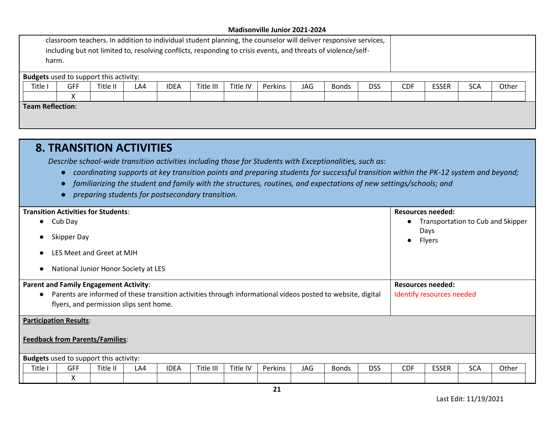| classroom teachers. In addition to individual student planning, the counselor will deliver responsive services,<br>including but not limited to, resolving conflicts, responding to crisis events, and threats of violence/self-<br>harm. |        |                                               |     |             |           |          |         |            |              |            |            |              |            |       |
|-------------------------------------------------------------------------------------------------------------------------------------------------------------------------------------------------------------------------------------------|--------|-----------------------------------------------|-----|-------------|-----------|----------|---------|------------|--------------|------------|------------|--------------|------------|-------|
|                                                                                                                                                                                                                                           |        | <b>Budgets</b> used to support this activity: |     |             |           |          |         |            |              |            |            |              |            |       |
| Title I                                                                                                                                                                                                                                   | GFF    | Title II                                      | LA4 | <b>IDEA</b> | Title III | Title IV | Perkins | <b>JAG</b> | <b>Bonds</b> | <b>DSS</b> | <b>CDF</b> | <b>ESSER</b> | <b>SCA</b> | Other |
|                                                                                                                                                                                                                                           | v<br>⋏ |                                               |     |             |           |          |         |            |              |            |            |              |            |       |
| <b>Team Reflection:</b>                                                                                                                                                                                                                   |        |                                               |     |             |           |          |         |            |              |            |            |              |            |       |

## **8. TRANSITION ACTIVITIES**

*Describe school-wide transition activities including those for Students with Exceptionalities, such as:* 

- *coordinating supports at key transition points and preparing students for successful transition within the PK-12 system and beyond;*
- *familiarizing the student and family with the structures, routines, and expectations of new settings/schools; and*
- *preparing students for postsecondary transition*.

| <b>Transition Activities for Students:</b>                                                                                                                                                              |            |          |     |             |           |          |         |     |              | <b>Resources needed:</b>                              |            |              |            |       |  |  |
|---------------------------------------------------------------------------------------------------------------------------------------------------------------------------------------------------------|------------|----------|-----|-------------|-----------|----------|---------|-----|--------------|-------------------------------------------------------|------------|--------------|------------|-------|--|--|
| Cub Day<br>$\bullet$                                                                                                                                                                                    |            |          |     |             |           |          |         |     |              | • Transportation to Cub and Skipper                   |            |              |            |       |  |  |
| Skipper Day                                                                                                                                                                                             |            |          |     |             |           |          |         |     |              | Days<br>Flyers<br>$\bullet$                           |            |              |            |       |  |  |
| LES Meet and Greet at MJH                                                                                                                                                                               |            |          |     |             |           |          |         |     |              |                                                       |            |              |            |       |  |  |
| National Junior Honor Society at LES                                                                                                                                                                    |            |          |     |             |           |          |         |     |              |                                                       |            |              |            |       |  |  |
| <b>Parent and Family Engagement Activity:</b><br>Parents are informed of these transition activities through informational videos posted to website, digital<br>flyers, and permission slips sent home. |            |          |     |             |           |          |         |     |              | <b>Resources needed:</b><br>Identify resources needed |            |              |            |       |  |  |
| <b>Participation Results:</b><br><b>Feedback from Parents/Families:</b>                                                                                                                                 |            |          |     |             |           |          |         |     |              |                                                       |            |              |            |       |  |  |
| <b>Budgets</b> used to support this activity:                                                                                                                                                           |            |          |     |             |           |          |         |     |              |                                                       |            |              |            |       |  |  |
| Title I                                                                                                                                                                                                 | <b>GFF</b> | Title II | LA4 | <b>IDEA</b> | Title III | Title IV | Perkins | JAG | <b>Bonds</b> | <b>DSS</b>                                            | <b>CDF</b> | <b>ESSER</b> | <b>SCA</b> | Other |  |  |
|                                                                                                                                                                                                         | X          |          |     |             |           |          |         |     |              |                                                       |            |              |            |       |  |  |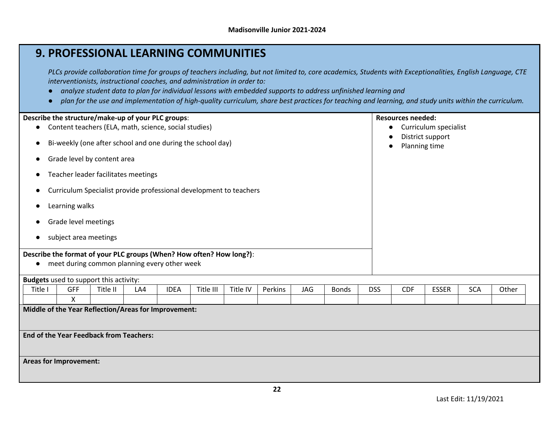## **9. PROFESSIONAL LEARNING COMMUNITIES**

*PLCs provide collaboration time for groups of teachers including, but not limited to, core academics, Students with Exceptionalities, English Language, CTE interventionists, instructional coaches, and administration in order to:* 

- *analyze student data to plan for individual lessons with embedded supports to address unfinished learning and*
- *plan for the use and implementation of high-quality curriculum, share best practices for teaching and learning, and study units within the curriculum.*

| Describe the structure/make-up of your PLC groups:<br>Content teachers (ELA, math, science, social studies)<br>$\bullet$<br>Bi-weekly (one after school and one during the school day)<br>Grade level by content area<br>$\bullet$<br>Teacher leader facilitates meetings<br>$\bullet$<br>Curriculum Specialist provide professional development to teachers |                                                                                                                                                                                         |          |     |             |           |          |         |     |              |            | <b>Resources needed:</b><br>$\bullet$<br>Planning time<br>$\bullet$ | Curriculum specialist<br>District support |            |       |
|--------------------------------------------------------------------------------------------------------------------------------------------------------------------------------------------------------------------------------------------------------------------------------------------------------------------------------------------------------------|-----------------------------------------------------------------------------------------------------------------------------------------------------------------------------------------|----------|-----|-------------|-----------|----------|---------|-----|--------------|------------|---------------------------------------------------------------------|-------------------------------------------|------------|-------|
| $\bullet$                                                                                                                                                                                                                                                                                                                                                    | Learning walks<br>Grade level meetings<br>subject area meetings<br>Describe the format of your PLC groups (When? How often? How long?):<br>meet during common planning every other week |          |     |             |           |          |         |     |              |            |                                                                     |                                           |            |       |
|                                                                                                                                                                                                                                                                                                                                                              | <b>Budgets</b> used to support this activity:                                                                                                                                           |          |     |             |           |          |         |     |              |            |                                                                     |                                           |            |       |
| Title I                                                                                                                                                                                                                                                                                                                                                      | GFF<br>$\pmb{\mathsf{X}}$                                                                                                                                                               | Title II | LA4 | <b>IDEA</b> | Title III | Title IV | Perkins | JAG | <b>Bonds</b> | <b>DSS</b> | <b>CDF</b>                                                          | <b>ESSER</b>                              | <b>SCA</b> | Other |
| Middle of the Year Reflection/Areas for Improvement:                                                                                                                                                                                                                                                                                                         |                                                                                                                                                                                         |          |     |             |           |          |         |     |              |            |                                                                     |                                           |            |       |
| <b>End of the Year Feedback from Teachers:</b>                                                                                                                                                                                                                                                                                                               |                                                                                                                                                                                         |          |     |             |           |          |         |     |              |            |                                                                     |                                           |            |       |
|                                                                                                                                                                                                                                                                                                                                                              | <b>Areas for Improvement:</b>                                                                                                                                                           |          |     |             |           |          |         |     |              |            |                                                                     |                                           |            |       |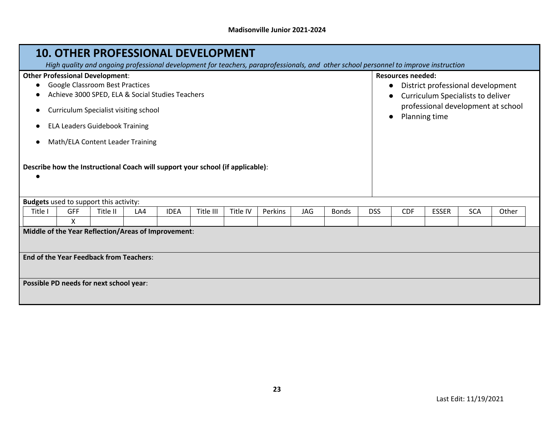|                                                                                                                                                                                                                                                                                                                                                                                                                                                                                      |            | <b>10. OTHER PROFESSIONAL DEVELOPMENT</b>                 |     |             |           |          |         |     |              |                                           |                                                                                                              |              |            |       |
|--------------------------------------------------------------------------------------------------------------------------------------------------------------------------------------------------------------------------------------------------------------------------------------------------------------------------------------------------------------------------------------------------------------------------------------------------------------------------------------|------------|-----------------------------------------------------------|-----|-------------|-----------|----------|---------|-----|--------------|-------------------------------------------|--------------------------------------------------------------------------------------------------------------|--------------|------------|-------|
| High quality and ongoing professional development for teachers, paraprofessionals, and other school personnel to improve instruction<br><b>Other Professional Development:</b><br>Google Classroom Best Practices<br>Achieve 3000 SPED, ELA & Social Studies Teachers<br><b>Curriculum Specialist visiting school</b><br><b>ELA Leaders Guidebook Training</b><br>Math/ELA Content Leader Training<br>Describe how the Instructional Coach will support your school (if applicable): |            |                                                           |     |             |           |          |         |     | $\bullet$    | <b>Resources needed:</b><br>Planning time | District professional development<br>Curriculum Specialists to deliver<br>professional development at school |              |            |       |
|                                                                                                                                                                                                                                                                                                                                                                                                                                                                                      |            |                                                           |     |             |           |          |         |     |              |                                           |                                                                                                              |              |            |       |
| Title I                                                                                                                                                                                                                                                                                                                                                                                                                                                                              | <b>GFF</b> | <b>Budgets</b> used to support this activity:<br>Title II | LA4 | <b>IDEA</b> | Title III | Title IV | Perkins | JAG | <b>Bonds</b> | <b>DSS</b>                                | <b>CDF</b>                                                                                                   | <b>ESSER</b> | <b>SCA</b> | Other |
|                                                                                                                                                                                                                                                                                                                                                                                                                                                                                      | X          |                                                           |     |             |           |          |         |     |              |                                           |                                                                                                              |              |            |       |
| Middle of the Year Reflection/Areas of Improvement:                                                                                                                                                                                                                                                                                                                                                                                                                                  |            |                                                           |     |             |           |          |         |     |              |                                           |                                                                                                              |              |            |       |
| <b>End of the Year Feedback from Teachers:</b>                                                                                                                                                                                                                                                                                                                                                                                                                                       |            |                                                           |     |             |           |          |         |     |              |                                           |                                                                                                              |              |            |       |
|                                                                                                                                                                                                                                                                                                                                                                                                                                                                                      |            | Possible PD needs for next school year:                   |     |             |           |          |         |     |              |                                           |                                                                                                              |              |            |       |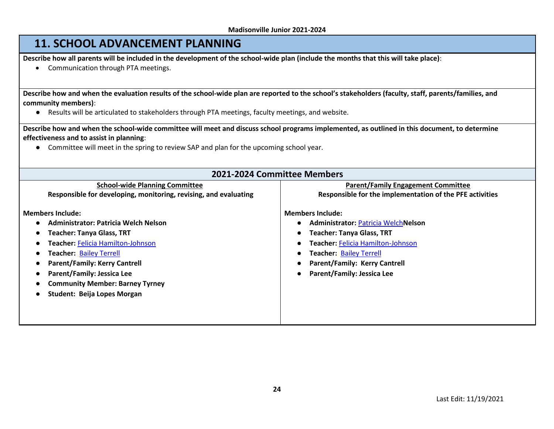## **11. SCHOOL ADVANCEMENT PLANNING**

**Describe how all parents will be included in the development of the school-wide plan (include the months that this will take place)**:

• Communication through PTA meetings.

**Describe how and when the evaluation results of the school-wide plan are reported to the school's stakeholders (faculty, staff, parents/families, and community members)**:

● Results will be articulated to stakeholders through PTA meetings, faculty meetings, and website.

**Describe how and when the school-wide committee will meet and discuss school programs implemented, as outlined in this document, to determine effectiveness and to assist in planning**:

● Committee will meet in the spring to review SAP and plan for the upcoming school year.

| 2021-2024 Committee Members                                      |                                                          |  |  |  |  |  |  |  |
|------------------------------------------------------------------|----------------------------------------------------------|--|--|--|--|--|--|--|
| <b>School-wide Planning Committee</b>                            | <b>Parent/Family Engagement Committee</b>                |  |  |  |  |  |  |  |
| Responsible for developing, monitoring, revising, and evaluating | Responsible for the implementation of the PFE activities |  |  |  |  |  |  |  |
| <b>Members Include:</b>                                          | <b>Members Include:</b>                                  |  |  |  |  |  |  |  |
| Administrator: Patricia Welch Nelson                             | <b>Administrator: Patricia WelchNelson</b>               |  |  |  |  |  |  |  |
| <b>Teacher: Tanya Glass, TRT</b>                                 | <b>Teacher: Tanya Glass, TRT</b>                         |  |  |  |  |  |  |  |
| Teacher: Felicia Hamilton-Johnson                                | Teacher: Felicia Hamilton-Johnson                        |  |  |  |  |  |  |  |
| Teacher: Bailey Terrell                                          | <b>Teacher: Bailey Terrell</b>                           |  |  |  |  |  |  |  |
| <b>Parent/Family: Kerry Cantrell</b>                             | <b>Parent/Family: Kerry Cantrell</b>                     |  |  |  |  |  |  |  |
| <b>Parent/Family: Jessica Lee</b>                                | <b>Parent/Family: Jessica Lee</b>                        |  |  |  |  |  |  |  |
| <b>Community Member: Barney Tyrney</b>                           |                                                          |  |  |  |  |  |  |  |
| Student: Beija Lopes Morgan                                      |                                                          |  |  |  |  |  |  |  |
|                                                                  |                                                          |  |  |  |  |  |  |  |
|                                                                  |                                                          |  |  |  |  |  |  |  |
|                                                                  |                                                          |  |  |  |  |  |  |  |